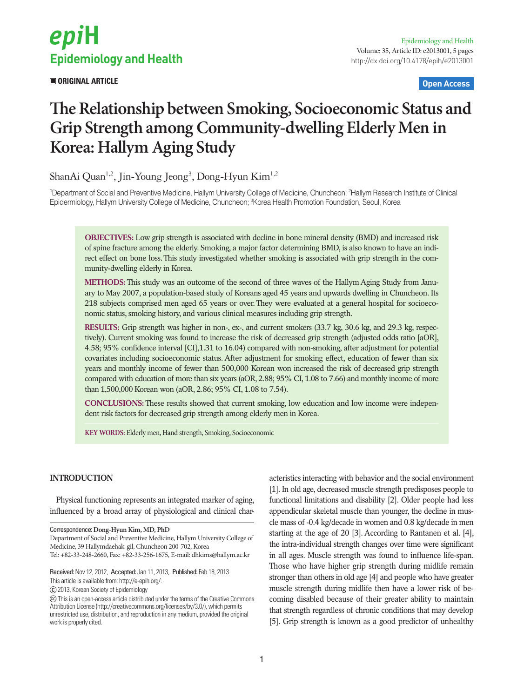

 **ORIGINAL ARTICLE Open Access**

# **The Relationship between Smoking, Socioeconomic Status and Grip Strength among Community-dwelling Elderly Men in Korea: Hallym Aging Study**

ShanAi Quan<sup>1,2</sup>, Jin-Young Jeong<sup>3</sup>, Dong-Hyun Kim<sup>1,2</sup>

1 Department of Social and Preventive Medicine, Hallym University College of Medicine, Chuncheon; 2 Hallym Research Institute of Clinical Epidermiology, Hallym University College of Medicine, Chuncheon; <sup>3</sup>Korea Health Promotion Foundation, Seoul, Korea

**OBJECTIVES:** Low grip strength is associated with decline in bone mineral density (BMD) and increased risk of spine fracture among the elderly. Smoking, a major factor determining BMD, is also known to have an indirect effect on bone loss. This study investigated whether smoking is associated with grip strength in the community-dwelling elderly in Korea.

**METHODS:** This study was an outcome of the second of three waves of the Hallym Aging Study from January to May 2007, a population-based study of Koreans aged 45 years and upwards dwelling in Chuncheon. Its 218 subjects comprised men aged 65 years or over. They were evaluated at a general hospital for socioeconomic status, smoking history, and various clinical measures including grip strength.

**RESULTS:** Grip strength was higher in non-, ex-, and current smokers (33.7 kg, 30.6 kg, and 29.3 kg, respectively). Current smoking was found to increase the risk of decreased grip strength (adjusted odds ratio [aOR], 4.58; 95% confidence interval [CI],1.31 to 16.04) compared with non-smoking, after adjustment for potential covariates including socioeconomic status. After adjustment for smoking effect, education of fewer than six years and monthly income of fewer than 500,000 Korean won increased the risk of decreased grip strength compared with education of more than six years (aOR, 2.88; 95% CI, 1.08 to 7.66) and monthly income of more than 1,500,000 Korean won (aOR, 2.86; 95% CI, 1.08 to 7.54).

**CONCLUSIONS:** These results showed that current smoking, low education and low income were independent risk factors for decreased grip strength among elderly men in Korea.

**KEY WORDS:** Elderly men, Hand strength, Smoking, Socioeconomic

# **INTRODUCTION**

Physical functioning represents an integrated marker of aging, influenced by a broad array of physiological and clinical char-

Correspondence: **Dong-Hyun Kim, MD, PhD**

Department of Social and Preventive Medicine, Hallym University College of Medicine, 39 Hallymdaehak-gil, Chuncheon 200-702, Korea Tel: +82-33-248-2660, Fax: +82-33-256-1675, E-mail: dhkims@hallym.ac.kr

Received: Nov 12, 2012, Accepted: Jan 11, 2013, Published: Feb 18, 2013

This article is available from: http://e-epih.org/.

2013, Korean Society of Epidemiology

acteristics interacting with behavior and the social environment [1]. In old age, decreased muscle strength predisposes people to functional limitations and disability [2]. Older people had less appendicular skeletal muscle than younger, the decline in muscle mass of -0.4 kg/decade in women and 0.8 kg/decade in men starting at the age of 20 [3]. According to Rantanen et al. [4], the intra-individual strength changes over time were significant in all ages. Muscle strength was found to influence life-span. Those who have higher grip strength during midlife remain stronger than others in old age [4] and people who have greater muscle strength during midlife then have a lower risk of becoming disabled because of their greater ability to maintain that strength regardless of chronic conditions that may develop [5]. Grip strength is known as a good predictor of unhealthy

This is an open-access article distributed under the terms of the Creative Commons Attribution License (http://creativecommons.org/licenses/by/3.0/), which permits unrestricted use, distribution, and reproduction in any medium, provided the original work is properly cited.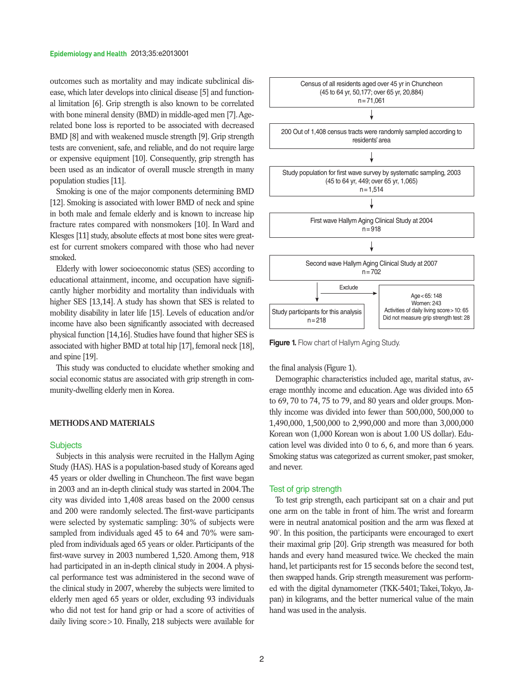outcomes such as mortality and may indicate subclinical disease, which later develops into clinical disease [5] and functional limitation [6]. Grip strength is also known to be correlated with bone mineral density (BMD) in middle-aged men [7]. Agerelated bone loss is reported to be associated with decreased BMD [8] and with weakened muscle strength [9]. Grip strength tests are convenient, safe, and reliable, and do not require large or expensive equipment [10]. Consequently, grip strength has been used as an indicator of overall muscle strength in many population studies [11].

Smoking is one of the major components determining BMD [12]. Smoking is associated with lower BMD of neck and spine in both male and female elderly and is known to increase hip fracture rates compared with nonsmokers [10]. In Ward and Klesges [11] study, absolute effects at most bone sites were greatest for current smokers compared with those who had never smoked.

Elderly with lower socioeconomic status (SES) according to educational attainment, income, and occupation have significantly higher morbidity and mortality than individuals with higher SES [13,14]. A study has shown that SES is related to mobility disability in later life [15]. Levels of education and/or income have also been significantly associated with decreased physical function [14,16]. Studies have found that higher SES is associated with higher BMD at total hip [17], femoral neck [18], and spine [19].

This study was conducted to elucidate whether smoking and social economic status are associated with grip strength in community-dwelling elderly men in Korea.

#### **METHODS AND MATERIALS**

#### **Subjects**

Subjects in this analysis were recruited in the Hallym Aging Study (HAS). HAS is a population-based study of Koreans aged 45 years or older dwelling in Chuncheon. The first wave began in 2003 and an in-depth clinical study was started in 2004. The city was divided into 1,408 areas based on the 2000 census and 200 were randomly selected. The first-wave participants were selected by systematic sampling: 30% of subjects were sampled from individuals aged 45 to 64 and 70% were sampled from individuals aged 65 years or older. Participants of the first-wave survey in 2003 numbered 1,520. Among them, 918 had participated in an in-depth clinical study in 2004. A physical performance test was administered in the second wave of the clinical study in 2007, whereby the subjects were limited to elderly men aged 65 years or older, excluding 93 individuals who did not test for hand grip or had a score of activities of daily living score>10. Finally, 218 subjects were available for



**Figure 1.** Flow chart of Hallym Aging Study.

the final analysis (Figure 1).

Demographic characteristics included age, marital status, average monthly income and education. Age was divided into 65 to 69, 70 to 74, 75 to 79, and 80 years and older groups. Monthly income was divided into fewer than 500,000, 500,000 to 1,490,000, 1,500,000 to 2,990,000 and more than 3,000,000 Korean won (1,000 Korean won is about 1.00 US dollar). Education level was divided into 0 to 6, 6, and more than 6 years. Smoking status was categorized as current smoker, past smoker, and never.

## Test of grip strength

To test grip strength, each participant sat on a chair and put one arm on the table in front of him. The wrist and forearm were in neutral anatomical position and the arm was flexed at 90˚. In this position, the participants were encouraged to exert their maximal grip [20]. Grip strength was measured for both hands and every hand measured twice. We checked the main hand, let participants rest for 15 seconds before the second test, then swapped hands. Grip strength measurement was performed with the digital dynamometer (TKK-5401; Takei, Tokyo, Japan) in kilograms, and the better numerical value of the main hand was used in the analysis.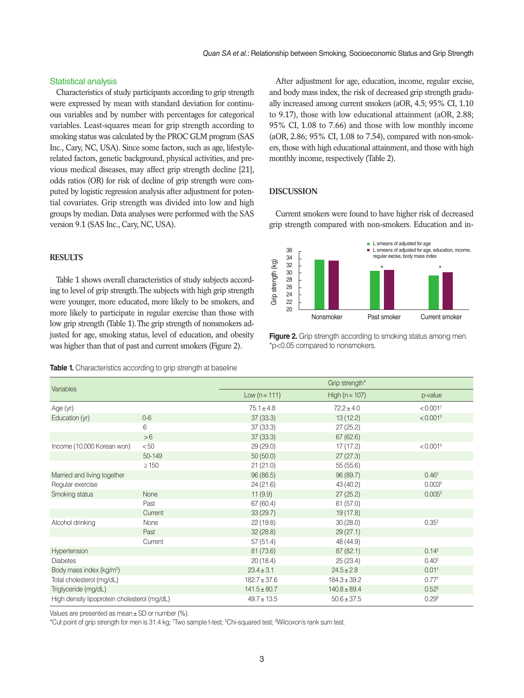## Statistical analysis

Characteristics of study participants according to grip strength were expressed by mean with standard deviation for continuous variables and by number with percentages for categorical variables. Least-squares mean for grip strength according to smoking status was calculated by the PROC GLM program (SAS Inc., Cary, NC, USA). Since some factors, such as age, lifestylerelated factors, genetic background, physical activities, and previous medical diseases, may affect grip strength decline [21], odds ratios (OR) for risk of decline of grip strength were computed by logistic regression analysis after adjustment for potential covariates. Grip strength was divided into low and high groups by median. Data analyses were performed with the SAS version 9.1 (SAS Inc., Cary, NC, USA).

# **RESULTS**

Table 1 shows overall characteristics of study subjects according to level of grip strength. The subjects with high grip strength were younger, more educated, more likely to be smokers, and more likely to participate in regular exercise than those with low grip strength (Table 1). The grip strength of nonsmokers adjusted for age, smoking status, level of education, and obesity was higher than that of past and current smokers (Figure 2).

**Table 1.** Characteristics according to grip strength at baseline

After adjustment for age, education, income, regular excise, and body mass index, the risk of decreased grip strength gradually increased among current smokers (aOR, 4.5; 95% CI, 1.10 to 9.17), those with low educational attainment (aOR, 2.88; 95% CI, 1.08 to 7.66) and those with low monthly income (aOR, 2.86; 95% CI, 1.08 to 7.54), compared with non-smokers, those with high educational attainment, and those with high monthly income, respectively (Table 2).

# **DISCUSSION**

Current smokers were found to have higher risk of decreased grip strength compared with non-smokers. Education and in-



**Figure 2.** Grip strength according to smoking status among men. \*p<0.05 compared to nonsmokers.

| Variables                                    |            | Grip strength*   |                    |                        |
|----------------------------------------------|------------|------------------|--------------------|------------------------|
|                                              |            | Low $(n = 111)$  | High ( $n = 107$ ) | p-value                |
| Age (yr)                                     |            | $75.1 \pm 4.8$   | $72.2 \pm 4.0$     | $< 0.001$ <sup>+</sup> |
| Education (yr)                               | $0-6$      | 37(33.3)         | 13(12.2)           | $< 0.001$ <sup>‡</sup> |
|                                              | 6          | 37(33.3)         | 27(25.2)           |                        |
|                                              | >6         | 37(33.3)         | 67(62.6)           |                        |
| Income (10,000 Korean won)                   | < 50       | 29(29.0)         | 17 (17.2)          | $< 0.001$ <sup>+</sup> |
|                                              | 50-149     | 50(50.0)         | 27(27.3)           |                        |
|                                              | $\geq 150$ | 21(21.0)         | 55(55.6)           |                        |
| Married and living together                  |            | 96(86.5)         | 96 (89.7)          | 0.46 <sup>‡</sup>      |
| Regular exercise                             |            | 24(21.6)         | 43 (40.2)          | 0.003 <sup>‡</sup>     |
| Smoking status                               | None       | 11(9.9)          | 27(25.2)           | 0.005 <sup>‡</sup>     |
|                                              | Past       | 67 (60.4)        | 61(57.0)           |                        |
|                                              | Current    | 33(29.7)         | 19(17.8)           |                        |
| Alcohol drinking                             | None       | 22(19.8)         | 30(28.0)           | 0.35 <sup>‡</sup>      |
|                                              | Past       | 32(28.8)         | 29(27.1)           |                        |
|                                              | Current    | 57(51.4)         | 48 (44.9)          |                        |
| Hypertension                                 |            | 81 (73.6)        | 87(82.1)           | 0.14 <sup>‡</sup>      |
| <b>Diabetes</b>                              |            | 20(18.4)         | 25(23.4)           | 0.40 <sup>‡</sup>      |
| Body mass index (kg/m <sup>2</sup> )         |            | $23.4 \pm 3.1$   | $24.5 \pm 2.8$     | 0.01 <sup>†</sup>      |
| Total cholesterol (mg/dL)                    |            | $182.7 \pm 37.6$ | $184.3 \pm 39.2$   | 0.77 <sup>†</sup>      |
| Triglyceride (mg/dL)                         |            | $141.5 \pm 80.7$ | $140.8 \pm 89.4$   | $0.52$ <sup>§</sup>    |
| High density lipoprotein cholesterol (mg/dL) |            | $49.7 \pm 13.5$  | $50.6 \pm 37.5$    | 0.29 <sup>§</sup>      |

Values are presented as mean±SD or number (%).

\*Cut point of grip strength for men is 31.4 kg; † Two sample t-test; ‡ Chi-squared test; § Wilcoxon's rank sum test.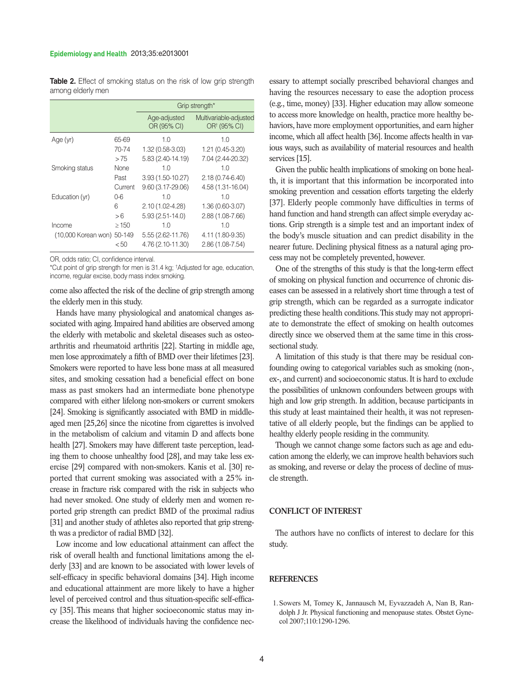**Table 2.** Effect of smoking status on the risk of low grip strength among elderly men

|                            |            | Grip strength*              |                                                    |  |
|----------------------------|------------|-----------------------------|----------------------------------------------------|--|
|                            |            | Age-adjusted<br>OR (95% CI) | Multivariable-adjusted<br>OR <sup>†</sup> (95% CI) |  |
| Age (yr)                   | 65-69      | 1.0                         | 1.0                                                |  |
|                            | 70-74      | 1.32 (0.58-3.03)            | $1.21(0.45-3.20)$                                  |  |
|                            | >75        | 5.83 (2.40-14.19)           | 7.04 (2.44-20.32)                                  |  |
| Smoking status             | None       | 1 <sub>0</sub>              | 1.0                                                |  |
|                            | Past       | 3.93 (1.50-10.27)           | $2.18(0.74-6.40)$                                  |  |
|                            | Current    | $9.60(3.17 - 29.06)$        | 4.58 (1.31-16.04)                                  |  |
| Education (yr)             | $0-6$      | 1 <sub>0</sub>              | 1.0                                                |  |
|                            | 6          | $2.10(1.02 - 4.28)$         | $1.36(0.60-3.07)$                                  |  |
|                            | >6         | $5.93(2.51 - 14.0)$         | 2.88 (1.08-7.66)                                   |  |
| Income                     | $\geq$ 150 | 1 <sub>0</sub>              | 1.0                                                |  |
| (10,000 Korean won) 50-149 |            | 5.55 (2.62-11.76)           | 4.11 (1.80-9.35)                                   |  |
|                            | < 50       | 4.76 (2.10-11.30)           | 2.86 (1.08-7.54)                                   |  |

OR, odds ratio; CI, confidence interval.

\*Cut point of grip strength for men is 31.4 kg; † Adjusted for age, education, income, regular excise, body mass index smoking.

come also affected the risk of the decline of grip strength among the elderly men in this study.

Hands have many physiological and anatomical changes associated with aging. Impaired hand abilities are observed among the elderly with metabolic and skeletal diseases such as osteoarthritis and rheumatoid arthritis [22]. Starting in middle age, men lose approximately a fifth of BMD over their lifetimes [23]. Smokers were reported to have less bone mass at all measured sites, and smoking cessation had a beneficial effect on bone mass as past smokers had an intermediate bone phenotype compared with either lifelong non-smokers or current smokers [24]. Smoking is significantly associated with BMD in middleaged men [25,26] since the nicotine from cigarettes is involved in the metabolism of calcium and vitamin D and affects bone health [27]. Smokers may have different taste perception, leading them to choose unhealthy food [28], and may take less exercise [29] compared with non-smokers. Kanis et al. [30] reported that current smoking was associated with a 25% increase in fracture risk compared with the risk in subjects who had never smoked. One study of elderly men and women reported grip strength can predict BMD of the proximal radius [31] and another study of athletes also reported that grip strength was a predictor of radial BMD [32].

Low income and low educational attainment can affect the risk of overall health and functional limitations among the elderly [33] and are known to be associated with lower levels of self-efficacy in specific behavioral domains [34]. High income and educational attainment are more likely to have a higher level of perceived control and thus situation-specific self-efficacy [35]. This means that higher socioeconomic status may increase the likelihood of individuals having the confidence nec-

essary to attempt socially prescribed behavioral changes and having the resources necessary to ease the adoption process (e.g., time, money) [33]. Higher education may allow someone to access more knowledge on health, practice more healthy behaviors, have more employment opportunities, and earn higher income, which all affect health [36]. Income affects health in various ways, such as availability of material resources and health services [15].

Given the public health implications of smoking on bone health, it is important that this information be incorporated into smoking prevention and cessation efforts targeting the elderly [37]. Elderly people commonly have difficulties in terms of hand function and hand strength can affect simple everyday actions. Grip strength is a simple test and an important index of the body's muscle situation and can predict disability in the nearer future. Declining physical fitness as a natural aging process may not be completely prevented, however.

One of the strengths of this study is that the long-term effect of smoking on physical function and occurrence of chronic diseases can be assessed in a relatively short time through a test of grip strength, which can be regarded as a surrogate indicator predicting these health conditions. This study may not appropriate to demonstrate the effect of smoking on health outcomes directly since we observed them at the same time in this crosssectional study.

A limitation of this study is that there may be residual confounding owing to categorical variables such as smoking (non-, ex-, and current) and socioeconomic status. It is hard to exclude the possibilities of unknown confounders between groups with high and low grip strength. In addition, because participants in this study at least maintained their health, it was not representative of all elderly people, but the findings can be applied to healthy elderly people residing in the community.

Though we cannot change some factors such as age and education among the elderly, we can improve health behaviors such as smoking, and reverse or delay the process of decline of muscle strength.

## **CONFLICT OF INTEREST**

The authors have no conflicts of interest to declare for this study.

## **REFERENCES**

1. Sowers M, Tomey K, Jannausch M, Eyvazzadeh A, Nan B, Randolph J Jr. Physical functioning and menopause states. Obstet Gynecol 2007;110:1290-1296.